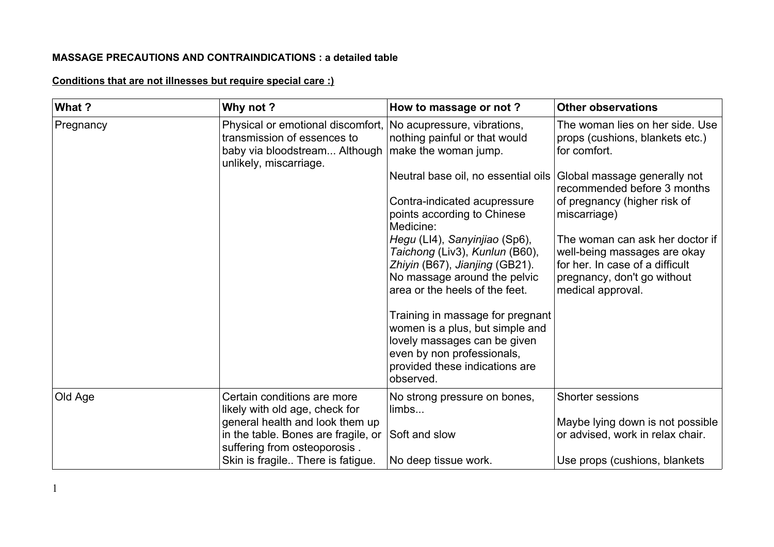## **MASSAGE PRECAUTIONS AND CONTRAINDICATIONS : a detailed table**

## **Conditions that are not illnesses but require special care :)**

| What?     | Why not ?                                                                                                                   | How to massage or not?                                                                                                                                                           | <b>Other observations</b>                                                                          |
|-----------|-----------------------------------------------------------------------------------------------------------------------------|----------------------------------------------------------------------------------------------------------------------------------------------------------------------------------|----------------------------------------------------------------------------------------------------|
| Pregnancy | Physical or emotional discomfort,<br>transmission of essences to<br>baby via bloodstream Although<br>unlikely, miscarriage. | No acupressure, vibrations,<br>nothing painful or that would<br>make the woman jump.                                                                                             | The woman lies on her side. Use<br>props (cushions, blankets etc.)<br>for comfort.                 |
|           |                                                                                                                             | Neutral base oil, no essential oils                                                                                                                                              | Global massage generally not<br>recommended before 3 months                                        |
|           |                                                                                                                             | Contra-indicated acupressure<br>points according to Chinese<br>Medicine:                                                                                                         | of pregnancy (higher risk of<br>miscarriage)                                                       |
|           |                                                                                                                             | Hegu (LI4), Sanyinjiao (Sp6),<br>Taichong (Liv3), Kunlun (B60),<br>Zhiyin (B67), Jianjing (GB21).                                                                                | The woman can ask her doctor if<br>well-being massages are okay<br>for her. In case of a difficult |
|           |                                                                                                                             | No massage around the pelvic<br>area or the heels of the feet.                                                                                                                   | pregnancy, don't go without<br>medical approval.                                                   |
|           |                                                                                                                             | Training in massage for pregnant<br>women is a plus, but simple and<br>lovely massages can be given<br>even by non professionals,<br>provided these indications are<br>observed. |                                                                                                    |
| Old Age   | Certain conditions are more<br>likely with old age, check for                                                               | No strong pressure on bones,<br>limbs                                                                                                                                            | <b>Shorter sessions</b>                                                                            |
|           | general health and look them up<br>in the table. Bones are fragile, or<br>suffering from osteoporosis.                      | Soft and slow                                                                                                                                                                    | Maybe lying down is not possible<br>or advised, work in relax chair.                               |
|           | Skin is fragile There is fatigue.                                                                                           | No deep tissue work.                                                                                                                                                             | Use props (cushions, blankets                                                                      |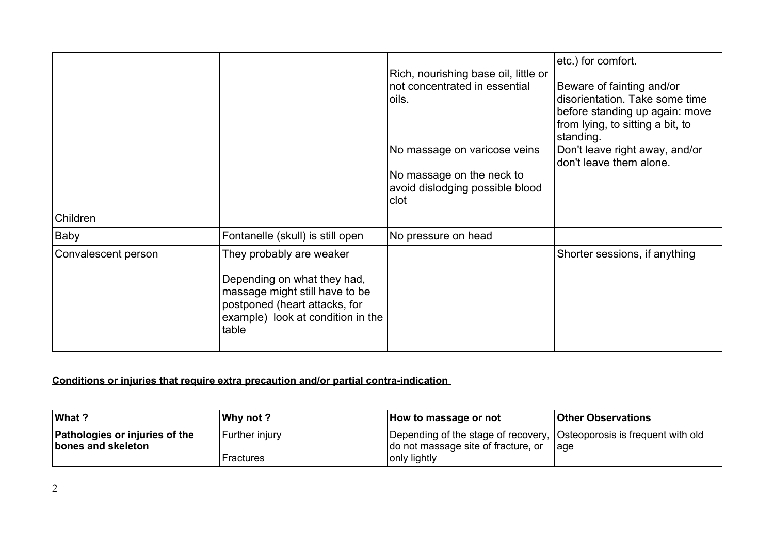|                     |                                                                                                                                                                          | Rich, nourishing base oil, little or<br>not concentrated in essential<br>oils.                       | etc.) for comfort.<br>Beware of fainting and/or<br>disorientation. Take some time<br>before standing up again: move<br>from lying, to sitting a bit, to<br>standing. |
|---------------------|--------------------------------------------------------------------------------------------------------------------------------------------------------------------------|------------------------------------------------------------------------------------------------------|----------------------------------------------------------------------------------------------------------------------------------------------------------------------|
|                     |                                                                                                                                                                          | No massage on varicose veins<br>No massage on the neck to<br>avoid dislodging possible blood<br>clot | Don't leave right away, and/or<br>don't leave them alone.                                                                                                            |
| Children            |                                                                                                                                                                          |                                                                                                      |                                                                                                                                                                      |
| Baby                | Fontanelle (skull) is still open                                                                                                                                         | No pressure on head                                                                                  |                                                                                                                                                                      |
| Convalescent person | They probably are weaker<br>Depending on what they had,<br>massage might still have to be<br>postponed (heart attacks, for<br>example) look at condition in the<br>table |                                                                                                      | Shorter sessions, if anything                                                                                                                                        |

## **Conditions or injuries that require extra precaution and/or partial contra-indication**

| What?                                                       | Why not ?        | How to massage or not                                                                                        | <b>Other Observations</b> |
|-------------------------------------------------------------|------------------|--------------------------------------------------------------------------------------------------------------|---------------------------|
| <b>Pathologies or injuries of the</b><br>bones and skeleton | Further injury   | Depending of the stage of recovery, Osteoporosis is frequent with old<br>do not massage site of fracture, or | age                       |
|                                                             | <b>Fractures</b> | only lightly                                                                                                 |                           |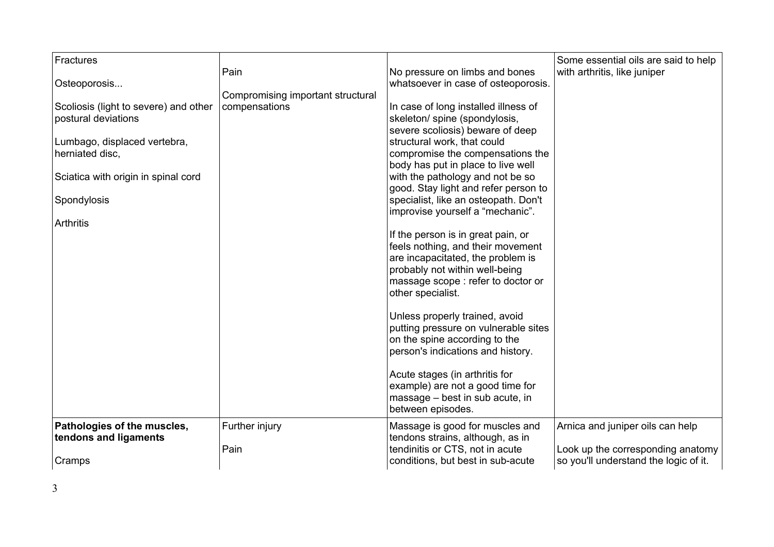| <b>Fractures</b><br>Osteoporosis<br>Scoliosis (light to severe) and other<br>postural deviations<br>Lumbago, displaced vertebra,<br>herniated disc,<br>Sciatica with origin in spinal cord<br>Spondylosis<br>Arthritis | Pain<br>Compromising important structural<br>compensations | No pressure on limbs and bones<br>whatsoever in case of osteoporosis.<br>In case of long installed illness of<br>skeleton/ spine (spondylosis,<br>severe scoliosis) beware of deep<br>structural work, that could<br>compromise the compensations the<br>body has put in place to live well<br>with the pathology and not be so<br>good. Stay light and refer person to<br>specialist, like an osteopath. Don't<br>improvise yourself a "mechanic".<br>If the person is in great pain, or<br>feels nothing, and their movement<br>are incapacitated, the problem is<br>probably not within well-being<br>massage scope : refer to doctor or<br>other specialist.<br>Unless properly trained, avoid<br>putting pressure on vulnerable sites<br>on the spine according to the<br>person's indications and history.<br>Acute stages (in arthritis for<br>example) are not a good time for<br>massage - best in sub acute, in<br>between episodes. | Some essential oils are said to help<br>with arthritis, like juniper                                           |
|------------------------------------------------------------------------------------------------------------------------------------------------------------------------------------------------------------------------|------------------------------------------------------------|------------------------------------------------------------------------------------------------------------------------------------------------------------------------------------------------------------------------------------------------------------------------------------------------------------------------------------------------------------------------------------------------------------------------------------------------------------------------------------------------------------------------------------------------------------------------------------------------------------------------------------------------------------------------------------------------------------------------------------------------------------------------------------------------------------------------------------------------------------------------------------------------------------------------------------------------|----------------------------------------------------------------------------------------------------------------|
| Pathologies of the muscles,<br>tendons and ligaments<br>Cramps                                                                                                                                                         | Further injury<br>Pain                                     | Massage is good for muscles and<br>tendons strains, although, as in<br>tendinitis or CTS, not in acute<br>conditions, but best in sub-acute                                                                                                                                                                                                                                                                                                                                                                                                                                                                                                                                                                                                                                                                                                                                                                                                    | Arnica and juniper oils can help<br>Look up the corresponding anatomy<br>so you'll understand the logic of it. |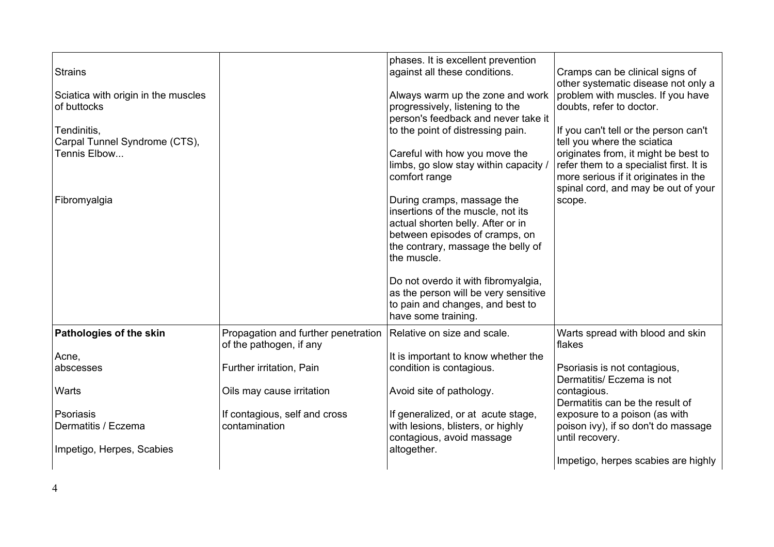| <b>Strains</b><br>Sciatica with origin in the muscles<br>of buttocks<br>Tendinitis,<br>Carpal Tunnel Syndrome (CTS),<br>Tennis Elbow |                                                                | phases. It is excellent prevention<br>against all these conditions.<br>Always warm up the zone and work<br>progressively, listening to the<br>person's feedback and never take it<br>to the point of distressing pain.<br>Careful with how you move the<br>limbs, go slow stay within capacity.<br>comfort range                      | Cramps can be clinical signs of<br>other systematic disease not only a<br>problem with muscles. If you have<br>doubts, refer to doctor.<br>If you can't tell or the person can't<br>tell you where the sciatica<br>originates from, it might be best to<br>refer them to a specialist first. It is<br>more serious if it originates in the<br>spinal cord, and may be out of your |
|--------------------------------------------------------------------------------------------------------------------------------------|----------------------------------------------------------------|---------------------------------------------------------------------------------------------------------------------------------------------------------------------------------------------------------------------------------------------------------------------------------------------------------------------------------------|-----------------------------------------------------------------------------------------------------------------------------------------------------------------------------------------------------------------------------------------------------------------------------------------------------------------------------------------------------------------------------------|
| Fibromyalgia                                                                                                                         |                                                                | During cramps, massage the<br>insertions of the muscle, not its<br>actual shorten belly. After or in<br>between episodes of cramps, on<br>the contrary, massage the belly of<br>the muscle.<br>Do not overdo it with fibromyalgia,<br>as the person will be very sensitive<br>to pain and changes, and best to<br>have some training. | scope.                                                                                                                                                                                                                                                                                                                                                                            |
| Pathologies of the skin                                                                                                              | Propagation and further penetration<br>of the pathogen, if any | Relative on size and scale.                                                                                                                                                                                                                                                                                                           | Warts spread with blood and skin<br>flakes                                                                                                                                                                                                                                                                                                                                        |
| Acne,<br>abscesses                                                                                                                   | Further irritation, Pain                                       | It is important to know whether the<br>condition is contagious.                                                                                                                                                                                                                                                                       | Psoriasis is not contagious,<br>Dermatitis/ Eczema is not                                                                                                                                                                                                                                                                                                                         |
| Warts                                                                                                                                | Oils may cause irritation                                      | Avoid site of pathology.                                                                                                                                                                                                                                                                                                              | contagious.<br>Dermatitis can be the result of                                                                                                                                                                                                                                                                                                                                    |
| Psoriasis<br>Dermatitis / Eczema<br>Impetigo, Herpes, Scabies                                                                        | If contagious, self and cross<br>contamination                 | If generalized, or at acute stage,<br>with lesions, blisters, or highly<br>contagious, avoid massage<br>altogether.                                                                                                                                                                                                                   | exposure to a poison (as with<br>poison ivy), if so don't do massage<br>until recovery.                                                                                                                                                                                                                                                                                           |
|                                                                                                                                      |                                                                |                                                                                                                                                                                                                                                                                                                                       | Impetigo, herpes scabies are highly                                                                                                                                                                                                                                                                                                                                               |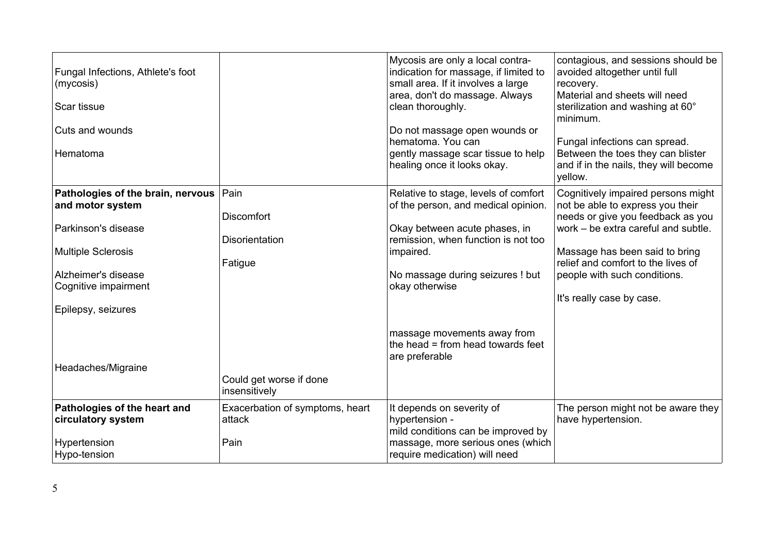| Fungal Infections, Athlete's foot<br>(mycosis)<br>Scar tissue<br>Cuts and wounds<br>Hematoma                                                                                          |                                                                                               | Mycosis are only a local contra-<br>indication for massage, if limited to<br>small area. If it involves a large<br>area, don't do massage. Always<br>clean thoroughly.<br>Do not massage open wounds or<br>hematoma. You can<br>gently massage scar tissue to help<br>healing once it looks okay. | contagious, and sessions should be<br>avoided altogether until full<br>recovery.<br>Material and sheets will need<br>sterilization and washing at 60°<br>minimum.<br>Fungal infections can spread.<br>Between the toes they can blister<br>and if in the nails, they will become<br>yellow. |
|---------------------------------------------------------------------------------------------------------------------------------------------------------------------------------------|-----------------------------------------------------------------------------------------------|---------------------------------------------------------------------------------------------------------------------------------------------------------------------------------------------------------------------------------------------------------------------------------------------------|---------------------------------------------------------------------------------------------------------------------------------------------------------------------------------------------------------------------------------------------------------------------------------------------|
| Pathologies of the brain, nervous   Pain<br>and motor system<br>Parkinson's disease<br><b>Multiple Sclerosis</b><br>Alzheimer's disease<br>Cognitive impairment<br>Epilepsy, seizures | <b>Discomfort</b><br>Disorientation<br>Fatigue                                                | Relative to stage, levels of comfort<br>of the person, and medical opinion.<br>Okay between acute phases, in<br>remission, when function is not too<br>impaired.<br>No massage during seizures ! but<br>okay otherwise                                                                            | Cognitively impaired persons might<br>not be able to express you their<br>needs or give you feedback as you<br>work - be extra careful and subtle.<br>Massage has been said to bring<br>relief and comfort to the lives of<br>people with such conditions.<br>It's really case by case.     |
| Headaches/Migraine<br>Pathologies of the heart and<br>circulatory system<br>Hypertension<br>Hypo-tension                                                                              | Could get worse if done<br>insensitively<br>Exacerbation of symptoms, heart<br>attack<br>Pain | massage movements away from<br>the head = from head towards feet<br>are preferable<br>It depends on severity of<br>hypertension -<br>mild conditions can be improved by<br>massage, more serious ones (which<br>require medication) will need                                                     | The person might not be aware they<br>have hypertension.                                                                                                                                                                                                                                    |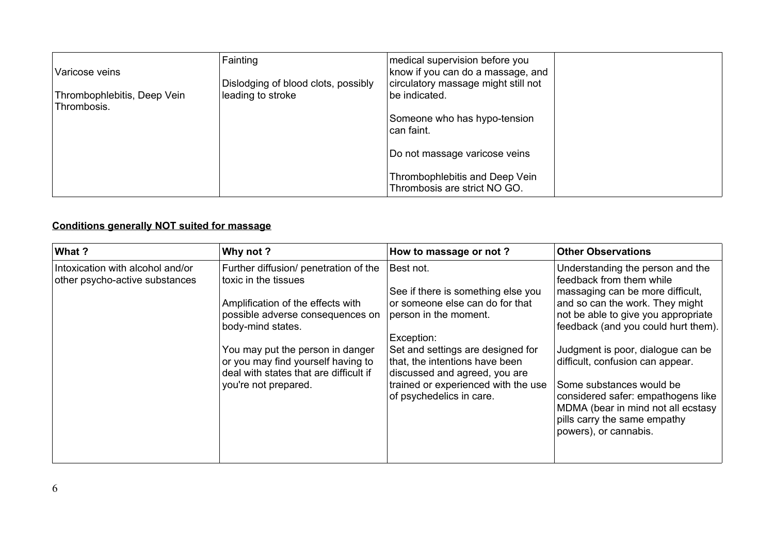| Varicose veins                             | Fainting                            | medical supervision before you<br>know if you can do a massage, and |
|--------------------------------------------|-------------------------------------|---------------------------------------------------------------------|
|                                            | Dislodging of blood clots, possibly | circulatory massage might still not                                 |
| Thrombophlebitis, Deep Vein<br>Thrombosis. | leading to stroke                   | be indicated.                                                       |
|                                            |                                     | Someone who has hypo-tension<br>can faint.                          |
|                                            |                                     | Do not massage varicose veins                                       |
|                                            |                                     | Thrombophlebitis and Deep Vein<br>Thrombosis are strict NO GO.      |

## **Conditions generally NOT suited for massage**

| What ?                                                             | Why not ?                                                                                                                                                                                                                                                                                               | How to massage or not?                                                                                                                                                                                                                                                                               | <b>Other Observations</b>                                                                                                                                                                                                                                                                                                                                                                                                                                   |
|--------------------------------------------------------------------|---------------------------------------------------------------------------------------------------------------------------------------------------------------------------------------------------------------------------------------------------------------------------------------------------------|------------------------------------------------------------------------------------------------------------------------------------------------------------------------------------------------------------------------------------------------------------------------------------------------------|-------------------------------------------------------------------------------------------------------------------------------------------------------------------------------------------------------------------------------------------------------------------------------------------------------------------------------------------------------------------------------------------------------------------------------------------------------------|
| Intoxication with alcohol and/or<br>other psycho-active substances | Further diffusion/ penetration of the<br>toxic in the tissues<br>Amplification of the effects with<br>possible adverse consequences on<br>body-mind states.<br>You may put the person in danger<br>or you may find yourself having to<br>deal with states that are difficult if<br>you're not prepared. | Best not.<br>See if there is something else you<br>or someone else can do for that<br>person in the moment.<br>Exception:<br>Set and settings are designed for<br>that, the intentions have been<br>discussed and agreed, you are<br>trained or experienced with the use<br>of psychedelics in care. | Understanding the person and the<br>feedback from them while<br>massaging can be more difficult,<br>and so can the work. They might<br>not be able to give you appropriate<br>feedback (and you could hurt them).<br>Judgment is poor, dialogue can be<br>difficult, confusion can appear.<br>Some substances would be<br>considered safer: empathogens like<br>MDMA (bear in mind not all ecstasy<br>pills carry the same empathy<br>powers), or cannabis. |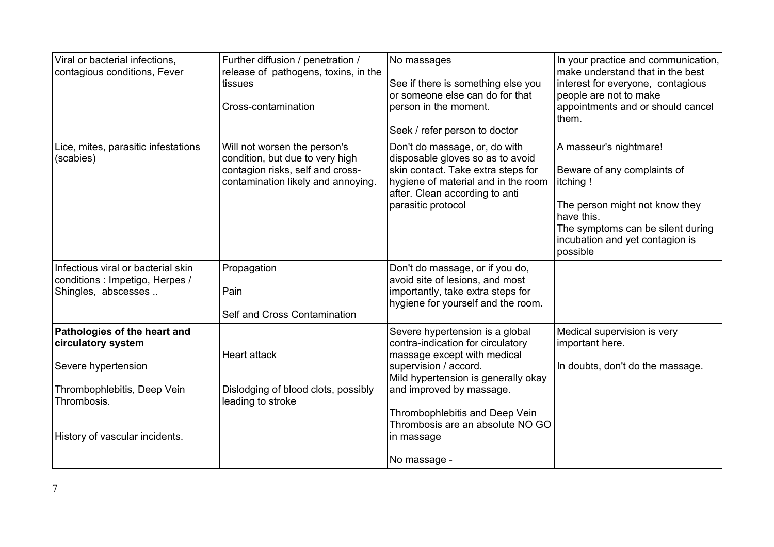| Viral or bacterial infections,<br>contagious conditions, Fever                               | Further diffusion / penetration /<br>release of pathogens, toxins, in the<br>tissues<br>Cross-contamination                               | No massages<br>See if there is something else you<br>or someone else can do for that<br>person in the moment.<br>Seek / refer person to doctor                                                         | In your practice and communication,<br>make understand that in the best<br>interest for everyone, contagious<br>people are not to make<br>appointments and or should cancel<br>them.                   |
|----------------------------------------------------------------------------------------------|-------------------------------------------------------------------------------------------------------------------------------------------|--------------------------------------------------------------------------------------------------------------------------------------------------------------------------------------------------------|--------------------------------------------------------------------------------------------------------------------------------------------------------------------------------------------------------|
| Lice, mites, parasitic infestations<br>(scabies)                                             | Will not worsen the person's<br>condition, but due to very high<br>contagion risks, self and cross-<br>contamination likely and annoying. | Don't do massage, or, do with<br>disposable gloves so as to avoid<br>skin contact. Take extra steps for<br>hygiene of material and in the room<br>after. Clean according to anti<br>parasitic protocol | A masseur's nightmare!<br>Beware of any complaints of<br>itching !<br>The person might not know they<br>have this.<br>The symptoms can be silent during<br>incubation and yet contagion is<br>possible |
| Infectious viral or bacterial skin<br>conditions : Impetigo, Herpes /<br>Shingles, abscesses | Propagation<br>Pain<br>Self and Cross Contamination                                                                                       | Don't do massage, or if you do,<br>avoid site of lesions, and most<br>importantly, take extra steps for<br>hygiene for yourself and the room.                                                          |                                                                                                                                                                                                        |
| Pathologies of the heart and<br>circulatory system<br>Severe hypertension                    | <b>Heart attack</b>                                                                                                                       | Severe hypertension is a global<br>contra-indication for circulatory<br>massage except with medical<br>supervision / accord.<br>Mild hypertension is generally okay                                    | Medical supervision is very<br>important here.<br>In doubts, don't do the massage.                                                                                                                     |
| Thrombophlebitis, Deep Vein<br>Thrombosis.<br>History of vascular incidents.                 | Dislodging of blood clots, possibly<br>leading to stroke                                                                                  | and improved by massage.<br>Thrombophlebitis and Deep Vein<br>Thrombosis are an absolute NO GO<br>in massage                                                                                           |                                                                                                                                                                                                        |
|                                                                                              |                                                                                                                                           | No massage -                                                                                                                                                                                           |                                                                                                                                                                                                        |